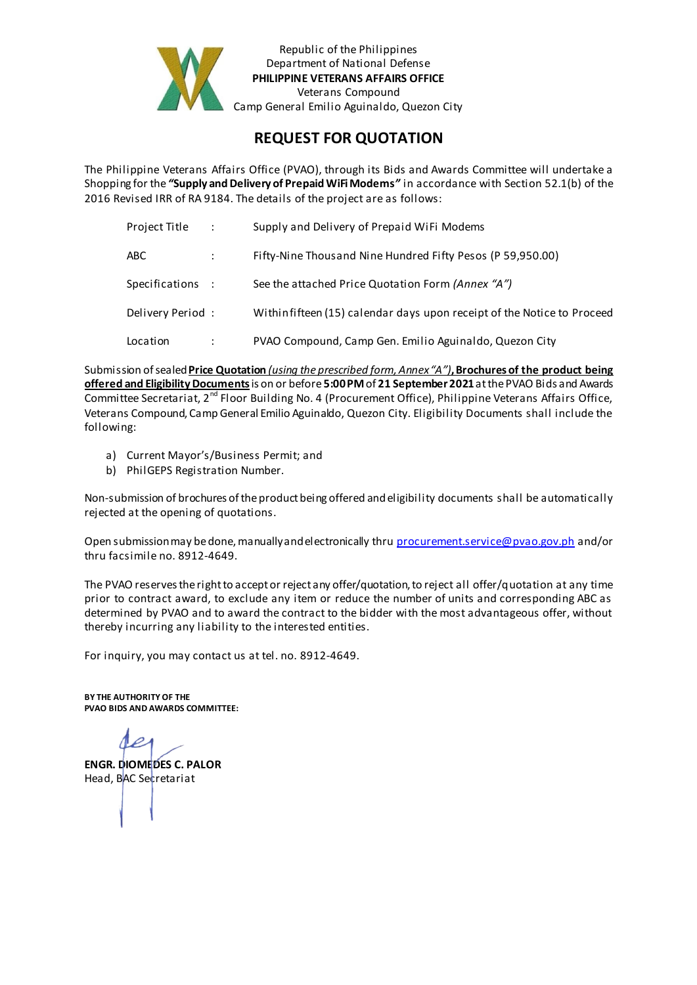

Republic of the Philippines Department of National Defense **PHILIPPINE VETERANS AFFAIRS OFFICE** Veterans Compound Camp General Emilio Aguinaldo, Quezon City

## **REQUEST FOR QUOTATION**

The Philippine Veterans Affairs Office (PVAO), through its Bids and Awards Committee will undertake a Shopping for the *"***Supply and Delivery of Prepaid WiFi Modems***"* in accordance with Section 52.1(b) of the 2016 Revised IRR of RA 9184. The details of the project are as follows:

| Project Title    | $\ddot{\phantom{a}}$ | Supply and Delivery of Prepaid WiFi Modems                              |
|------------------|----------------------|-------------------------------------------------------------------------|
| ABC              | ÷                    | Fifty-Nine Thousand Nine Hundred Fifty Pesos (P 59,950.00)              |
| Specifications : |                      | See the attached Price Quotation Form (Annex "A")                       |
| Delivery Period: |                      | Within fifteen (15) calendar days upon receipt of the Notice to Proceed |
| Location         |                      | PVAO Compound, Camp Gen. Emilio Aguinaldo, Quezon City                  |

Submission of sealed **Price Quotation** *(using the prescribed form, Annex "A")***, Brochures of the product being offered and Eligibility Documents**is on or before **5:00 PM** of **21 September2021**at thePVAO Bids and Awards Committee Secretariat, 2nd Floor Building No. 4 (Procurement Office), Philippine Veterans Affairs Office, Veterans Compound, Camp General Emilio Aguinaldo, Quezon City. Eligibility Documents shall include the following:

- a) Current Mayor's/Business Permit; and
- b) PhilGEPS Registration Number.

Non-submission of brochures of the product being offered and eligibility documents shall be automatically rejected at the opening of quotations.

Open submission may be done, manually and electronically thru p[rocurement.service@pvao.gov.ph](mailto:procurement.service@pvao.gov.phyahoo.com) and/or thru facsimile no. 8912-4649.

The PVAO reserves the right to accept or reject any offer/quotation, to reject all offer/quotation at any time prior to contract award, to exclude any item or reduce the number of units and corresponding ABC as determined by PVAO and to award the contract to the bidder with the most advantageous offer, without thereby incurring any liability to the interested entities.

For inquiry, you may contact us at tel. no. 8912-4649.

**BY THE AUTHORITY OF THE PVAO BIDS AND AWARDS COMMITTEE:**

**ENGR. DIOMEDES C. PALOR** Head, BAC Secretariat